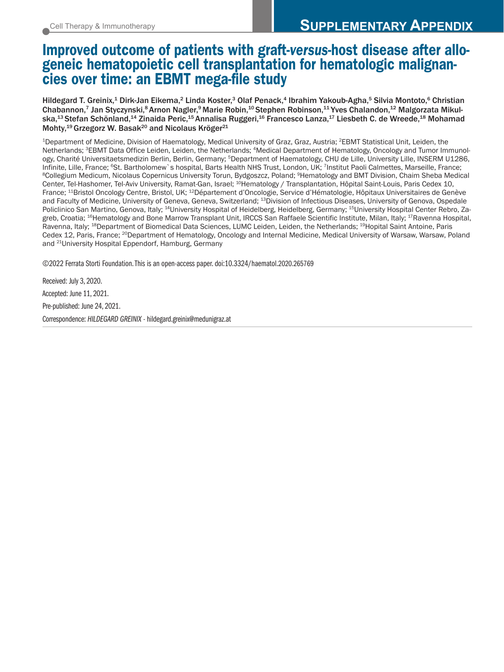## Improved outcome of patients with graft-*versus*-host disease after allogeneic hematopoietic cell transplantation for hematologic malignancies over time: an EBMT mega-file study

Hildegard T. Greinix,<sup>1</sup> Dirk-Jan Eikema,<sup>2</sup> Linda Koster,<sup>3</sup> Olaf Penack,<sup>4</sup> Ibrahim Yakoub-Agha,<sup>5</sup> Silvia Montoto,<sup>6</sup> Christian Chabannon,<sup>7</sup> Jan Styczynski,<sup>8</sup> Arnon Nagler,<sup>9</sup> Marie Robin,<sup>10</sup> Stephen Robinson,<sup>11</sup> Yves Chalandon,<sup>12</sup> Malgorzata Mikulska,<sup>13</sup> Stefan Schönland,<sup>14</sup> Zinaida Peric,<sup>15</sup> Annalisa Ruggeri,<sup>16</sup> Francesco Lanza,<sup>17</sup> Liesbeth C. de Wreede,<sup>18</sup> Mohamad Mohty,<sup>19</sup> Grzegorz W. Basak<sup>20</sup> and Nicolaus Kröger<sup>21</sup>

<sup>1</sup>Department of Medicine, Division of Haematology, Medical University of Graz, Graz, Austria; <sup>2</sup>EBMT Statistical Unit, Leiden, the Netherlands; <sup>3</sup>EBMT Data Office Leiden, Leiden, the Netherlands; <sup>4</sup>Medical Department of Hematology, Oncology and Tumor Immunology, Charité Universitaetsmedizin Berlin, Berlin, Germany; 5Department of Haematology, CHU de Lille, University Lille, INSERM U1286, Infinite, Lille, France; <sup>6</sup>St. Bartholomew`s hospital, Barts Health NHS Trust, London, UK; 7Institut Paoli Calmettes, Marseille, France;<br><sup>8</sup>Collegium Medicum, Nicolaus Copernicus University Torun, Bydgoszcz, Poland; <sup>9</sup>He Center, Tel-Hashomer, Tel-Aviv University, Ramat-Gan, Israel; <sup>10</sup>Hematology / Transplantation, Hôpital Saint-Louis, Paris Cedex 10, France; <sup>11</sup>Bristol Oncology Centre, Bristol, UK; <sup>12</sup>Département d'Oncologie, Service d'Hématologie, Hôpitaux Universitaires de Genève and Faculty of Medicine, University of Geneva, Geneva, Switzerland; 13Division of Infectious Diseases, University of Genova, Ospedale Policlinico San Martino, Genova, Italy; <sup>14</sup>University Hospital of Heidelberg, Heidelberg, Germany; <sup>15</sup>University Hospital Center Rebro, Zagreb, Croatia; <sup>16</sup>Hematology and Bone Marrow Transplant Unit, IRCCS San Raffaele Scientific Institute, Milan, Italy; <sup>17</sup>Ravenna Hospital, Ravenna, Italy; 18Department of Biomedical Data Sciences, LUMC Leiden, Leiden, the Netherlands; 19Hopital Saint Antoine, Paris Cedex 12, Paris, France; <sup>20</sup>Department of Hematology, Oncology and Internal Medicine, Medical University of Warsaw, Warsaw, Poland and 21University Hospital Eppendorf, Hamburg, Germany

©2022 Ferrata Storti Foundation. This is an open-access paper. doi:10.3324/haematol.2020.265769

Received: July 3, 2020. Accepted: June 11, 2021. Pre-published: June 24, 2021. Correspondence: *HILDEGARD GREINIX* - hildegard.greinix@medunigraz.at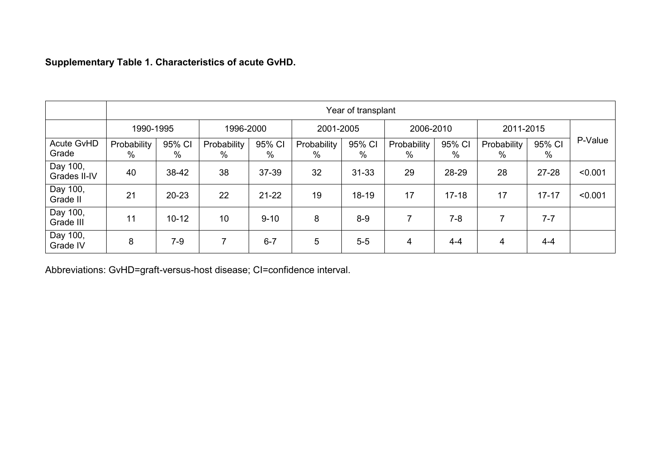**Supplementary Table 1. Characteristics of acute GvHD.**

|                            | Year of transplant |             |                  |             |                  |             |                  |             |                  |             |         |
|----------------------------|--------------------|-------------|------------------|-------------|------------------|-------------|------------------|-------------|------------------|-------------|---------|
|                            | 1990-1995          |             | 1996-2000        |             | 2001-2005        |             | 2006-2010        |             | 2011-2015        |             |         |
| <b>Acute GvHD</b><br>Grade | Probability<br>%   | 95% CI<br>% | Probability<br>% | 95% CI<br>% | Probability<br>% | 95% CI<br>% | Probability<br>% | 95% CI<br>% | Probability<br>% | 95% CI<br>% | P-Value |
| Day 100,<br>Grades II-IV   | 40                 | 38-42       | 38               | 37-39       | 32               | $31 - 33$   | 29               | 28-29       | 28               | $27 - 28$   | < 0.001 |
| Day 100,<br>Grade II       | 21                 | $20 - 23$   | 22               | $21 - 22$   | 19               | $18 - 19$   | 17               | $17 - 18$   | 17               | $17 - 17$   | < 0.001 |
| Day 100,<br>Grade III      | 11                 | $10 - 12$   | 10               | $9 - 10$    | 8                | $8-9$       | $\overline{7}$   | $7 - 8$     | $\overline{7}$   | $7 - 7$     |         |
| Day 100,<br>Grade IV       | 8                  | $7-9$       | $\overline{7}$   | $6 - 7$     | 5                | $5-5$       | 4                | $4 - 4$     | 4                | $4 - 4$     |         |

Abbreviations: GvHD=graft-versus-host disease; CI=confidence interval.